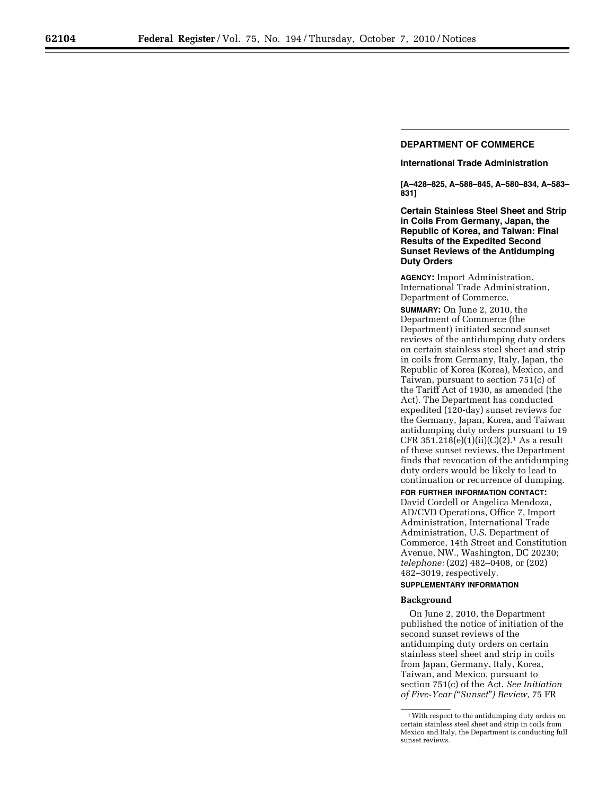## **DEPARTMENT OF COMMERCE**

### **International Trade Administration**

**[A–428–825, A–588–845, A–580–834, A–583– 831]** 

**Certain Stainless Steel Sheet and Strip in Coils From Germany, Japan, the Republic of Korea, and Taiwan: Final Results of the Expedited Second Sunset Reviews of the Antidumping Duty Orders** 

**AGENCY:** Import Administration, International Trade Administration, Department of Commerce.

**SUMMARY:** On June 2, 2010, the Department of Commerce (the Department) initiated second sunset reviews of the antidumping duty orders on certain stainless steel sheet and strip in coils from Germany, Italy, Japan, the Republic of Korea (Korea), Mexico, and Taiwan, pursuant to section 751(c) of the Tariff Act of 1930, as amended (the Act). The Department has conducted expedited (120-day) sunset reviews for the Germany, Japan, Korea, and Taiwan antidumping duty orders pursuant to 19 CFR  $351.218(e)(1)(ii)(C)(2).<sup>1</sup> As a result$ of these sunset reviews, the Department finds that revocation of the antidumping duty orders would be likely to lead to continuation or recurrence of dumping.

**FOR FURTHER INFORMATION CONTACT:**  David Cordell or Angelica Mendoza, AD/CVD Operations, Office 7, Import Administration, International Trade Administration, U.S. Department of Commerce, 14th Street and Constitution Avenue, NW., Washington, DC 20230; *telephone:* (202) 482–0408, or (202) 482–3019, respectively.

# **SUPPLEMENTARY INFORMATION**

#### **Background**

On June 2, 2010, the Department published the notice of initiation of the second sunset reviews of the antidumping duty orders on certain stainless steel sheet and strip in coils from Japan, Germany, Italy, Korea, Taiwan, and Mexico, pursuant to section 751(c) of the Act. *See Initiation of Five-Year (*''*Sunset*''*) Review,* 75 FR

<sup>1</sup>With respect to the antidumping duty orders on certain stainless steel sheet and strip in coils from Mexico and Italy, the Department is conducting full sunset reviews.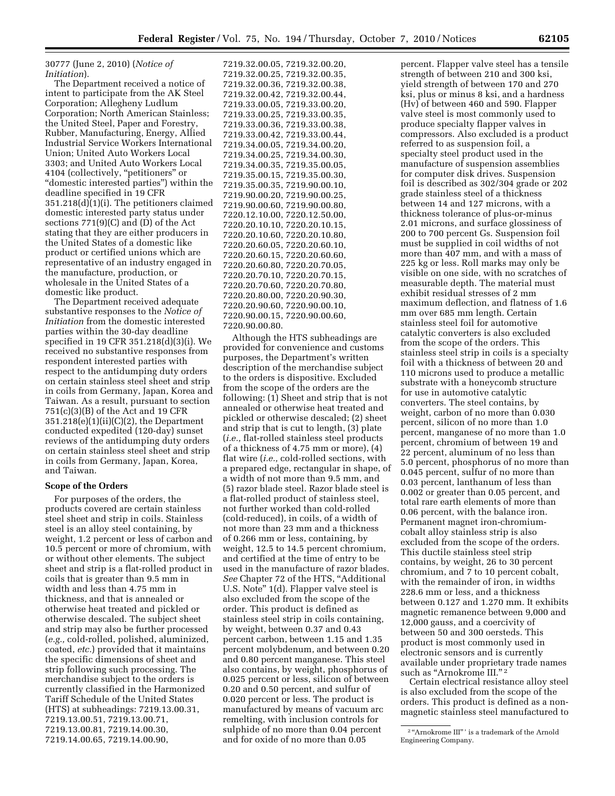### 30777 (June 2, 2010) (*Notice of Initiation*).

The Department received a notice of intent to participate from the AK Steel Corporation; Allegheny Ludlum Corporation; North American Stainless; the United Steel, Paper and Forestry, Rubber, Manufacturing, Energy, Allied Industrial Service Workers International Union; United Auto Workers Local 3303; and United Auto Workers Local 4104 (collectively, "petitioners" or ''domestic interested parties'') within the deadline specified in 19 CFR 351.218(d)(1)(i). The petitioners claimed domestic interested party status under sections 771(9)(C) and (D) of the Act stating that they are either producers in the United States of a domestic like product or certified unions which are representative of an industry engaged in the manufacture, production, or wholesale in the United States of a domestic like product.

The Department received adequate substantive responses to the *Notice of Initiation* from the domestic interested parties within the 30-day deadline specified in 19 CFR 351.218(d)(3)(i). We received no substantive responses from respondent interested parties with respect to the antidumping duty orders on certain stainless steel sheet and strip in coils from Germany, Japan, Korea and Taiwan. As a result, pursuant to section 751(c)(3)(B) of the Act and 19 CFR 351.218(e)(1)(ii)(C)(2), the Department conducted expedited (120-day) sunset reviews of the antidumping duty orders on certain stainless steel sheet and strip in coils from Germany, Japan, Korea, and Taiwan.

### **Scope of the Orders**

For purposes of the orders, the products covered are certain stainless steel sheet and strip in coils. Stainless steel is an alloy steel containing, by weight, 1.2 percent or less of carbon and 10.5 percent or more of chromium, with or without other elements. The subject sheet and strip is a flat-rolled product in coils that is greater than 9.5 mm in width and less than 4.75 mm in thickness, and that is annealed or otherwise heat treated and pickled or otherwise descaled. The subject sheet and strip may also be further processed (*e.g.,* cold-rolled, polished, aluminized, coated, *etc.*) provided that it maintains the specific dimensions of sheet and strip following such processing. The merchandise subject to the orders is currently classified in the Harmonized Tariff Schedule of the United States (HTS) at subheadings: 7219.13.00.31, 7219.13.00.51, 7219.13.00.71, 7219.13.00.81, 7219.14.00.30, 7219.14.00.65, 7219.14.00.90,

7219.32.00.05, 7219.32.00.20, 7219.32.00.25, 7219.32.00.35, 7219.32.00.36, 7219.32.00.38, 7219.32.00.42, 7219.32.00.44, 7219.33.00.05, 7219.33.00.20, 7219.33.00.25, 7219.33.00.35, 7219.33.00.36, 7219.33.00.38, 7219.33.00.42, 7219.33.00.44, 7219.34.00.05, 7219.34.00.20, 7219.34.00.25, 7219.34.00.30, 7219.34.00.35, 7219.35.00.05, 7219.35.00.15, 7219.35.00.30, 7219.35.00.35, 7219.90.00.10, 7219.90.00.20, 7219.90.00.25, 7219.90.00.60, 7219.90.00.80, 7220.12.10.00, 7220.12.50.00, 7220.20.10.10, 7220.20.10.15, 7220.20.10.60, 7220.20.10.80, 7220.20.60.05, 7220.20.60.10, 7220.20.60.15, 7220.20.60.60, 7220.20.60.80, 7220.20.70.05, 7220.20.70.10, 7220.20.70.15, 7220.20.70.60, 7220.20.70.80, 7220.20.80.00, 7220.20.90.30, 7220.20.90.60, 7220.90.00.10, 7220.90.00.15, 7220.90.00.60, 7220.90.00.80.

Although the HTS subheadings are provided for convenience and customs purposes, the Department's written description of the merchandise subject to the orders is dispositive. Excluded from the scope of the orders are the following: (1) Sheet and strip that is not annealed or otherwise heat treated and pickled or otherwise descaled; (2) sheet and strip that is cut to length, (3) plate (*i.e.,* flat-rolled stainless steel products of a thickness of 4.75 mm or more), (4) flat wire (*i.e.,* cold-rolled sections, with a prepared edge, rectangular in shape, of a width of not more than 9.5 mm, and (5) razor blade steel. Razor blade steel is a flat-rolled product of stainless steel, not further worked than cold-rolled (cold-reduced), in coils, of a width of not more than 23 mm and a thickness of 0.266 mm or less, containing, by weight, 12.5 to 14.5 percent chromium, and certified at the time of entry to be used in the manufacture of razor blades. *See* Chapter 72 of the HTS, ''Additional U.S. Note'' 1(d). Flapper valve steel is also excluded from the scope of the order. This product is defined as stainless steel strip in coils containing, by weight, between 0.37 and 0.43 percent carbon, between 1.15 and 1.35 percent molybdenum, and between 0.20 and 0.80 percent manganese. This steel also contains, by weight, phosphorus of 0.025 percent or less, silicon of between 0.20 and 0.50 percent, and sulfur of 0.020 percent or less. The product is manufactured by means of vacuum arc remelting, with inclusion controls for sulphide of no more than 0.04 percent and for oxide of no more than 0.05

percent. Flapper valve steel has a tensile strength of between 210 and 300 ksi, yield strength of between 170 and 270 ksi, plus or minus 8 ksi, and a hardness (Hv) of between 460 and 590. Flapper valve steel is most commonly used to produce specialty flapper valves in compressors. Also excluded is a product referred to as suspension foil, a specialty steel product used in the manufacture of suspension assemblies for computer disk drives. Suspension foil is described as 302/304 grade or 202 grade stainless steel of a thickness between 14 and 127 microns, with a thickness tolerance of plus-or-minus 2.01 microns, and surface glossiness of 200 to 700 percent Gs. Suspension foil must be supplied in coil widths of not more than 407 mm, and with a mass of 225 kg or less. Roll marks may only be visible on one side, with no scratches of measurable depth. The material must exhibit residual stresses of 2 mm maximum deflection, and flatness of 1.6 mm over 685 mm length. Certain stainless steel foil for automotive catalytic converters is also excluded from the scope of the orders. This stainless steel strip in coils is a specialty foil with a thickness of between 20 and 110 microns used to produce a metallic substrate with a honeycomb structure for use in automotive catalytic converters. The steel contains, by weight, carbon of no more than 0.030 percent, silicon of no more than 1.0 percent, manganese of no more than 1.0 percent, chromium of between 19 and 22 percent, aluminum of no less than 5.0 percent, phosphorus of no more than 0.045 percent, sulfur of no more than 0.03 percent, lanthanum of less than 0.002 or greater than 0.05 percent, and total rare earth elements of more than 0.06 percent, with the balance iron. Permanent magnet iron-chromiumcobalt alloy stainless strip is also excluded from the scope of the orders. This ductile stainless steel strip contains, by weight, 26 to 30 percent chromium, and 7 to 10 percent cobalt, with the remainder of iron, in widths 228.6 mm or less, and a thickness between 0.127 and 1.270 mm. It exhibits magnetic remanence between 9,000 and 12,000 gauss, and a coercivity of between 50 and 300 oersteds. This product is most commonly used in electronic sensors and is currently available under proprietary trade names such as "Arnokrome III."<sup>2</sup>

Certain electrical resistance alloy steel is also excluded from the scope of the orders. This product is defined as a nonmagnetic stainless steel manufactured to

<sup>&</sup>lt;sup>2</sup>"Arnokrome III"' is a trademark of the Arnold Engineering Company.